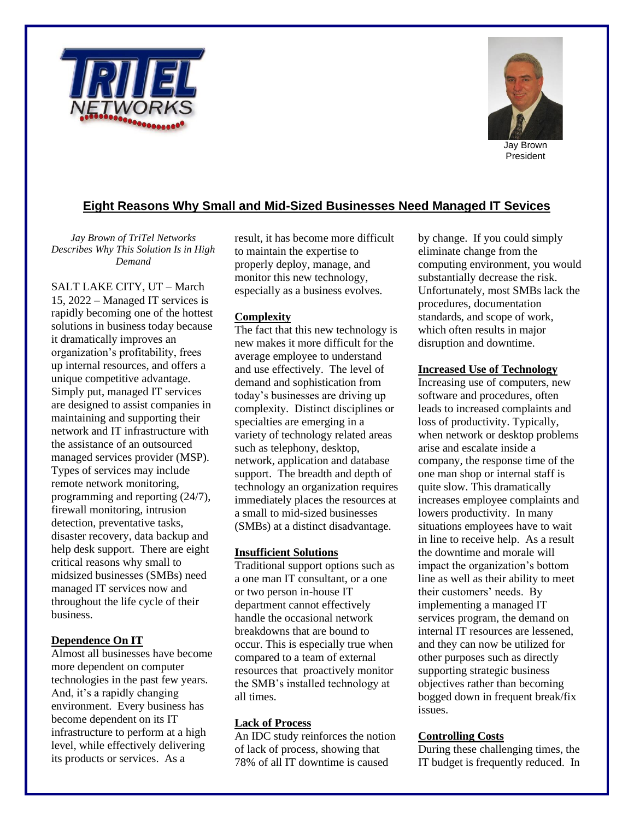



Jay Brown President

# **Eight Reasons Why Small and Mid-Sized Businesses Need Managed IT Sevices**

*Jay Brown of TriTel Networks Describes Why This Solution Is in High Demand*

SALT LAKE CITY, UT – March 15, 2022 – Managed IT services is rapidly becoming one of the hottest solutions in business today because it dramatically improves an organization's profitability, frees up internal resources, and offers a unique competitive advantage. Simply put, managed IT services are designed to assist companies in maintaining and supporting their network and IT infrastructure with the assistance of an outsourced managed services provider (MSP). Types of services may include remote network monitoring, programming and reporting (24/7), firewall monitoring, intrusion detection, preventative tasks, disaster recovery, data backup and help desk support. There are eight critical reasons why small to midsized businesses (SMBs) need managed IT services now and throughout the life cycle of their business.

#### **Dependence On IT**

Almost all businesses have become more dependent on computer technologies in the past few years. And, it's a rapidly changing environment. Every business has become dependent on its IT infrastructure to perform at a high level, while effectively delivering its products or services. As a

result, it has become more difficult to maintain the expertise to properly deploy, manage, and monitor this new technology, especially as a business evolves.

## **Complexity**

The fact that this new technology is new makes it more difficult for the average employee to understand and use effectively. The level of demand and sophistication from today's businesses are driving up complexity. Distinct disciplines or specialties are emerging in a variety of technology related areas such as telephony, desktop, network, application and database support. The breadth and depth of technology an organization requires immediately places the resources at a small to mid-sized businesses (SMBs) at a distinct disadvantage.

#### **Insufficient Solutions**

Traditional support options such as a one man IT consultant, or a one or two person in-house IT department cannot effectively handle the occasional network breakdowns that are bound to occur. This is especially true when compared to a team of external resources that proactively monitor the SMB's installed technology at all times.

## **Lack of Process**

An IDC study reinforces the notion of lack of process, showing that 78% of all IT downtime is caused

by change. If you could simply eliminate change from the computing environment, you would substantially decrease the risk. Unfortunately, most SMBs lack the procedures, documentation standards, and scope of work, which often results in major disruption and downtime.

#### **Increased Use of Technology**

Increasing use of computers, new software and procedures, often leads to increased complaints and loss of productivity. Typically, when network or desktop problems arise and escalate inside a company, the response time of the one man shop or internal staff is quite slow. This dramatically increases employee complaints and lowers productivity. In many situations employees have to wait in line to receive help. As a result the downtime and morale will impact the organization's bottom line as well as their ability to meet their customers' needs. By implementing a managed IT services program, the demand on internal IT resources are lessened, and they can now be utilized for other purposes such as directly supporting strategic business objectives rather than becoming bogged down in frequent break/fix issues.

## **Controlling Costs**

During these challenging times, the IT budget is frequently reduced. In